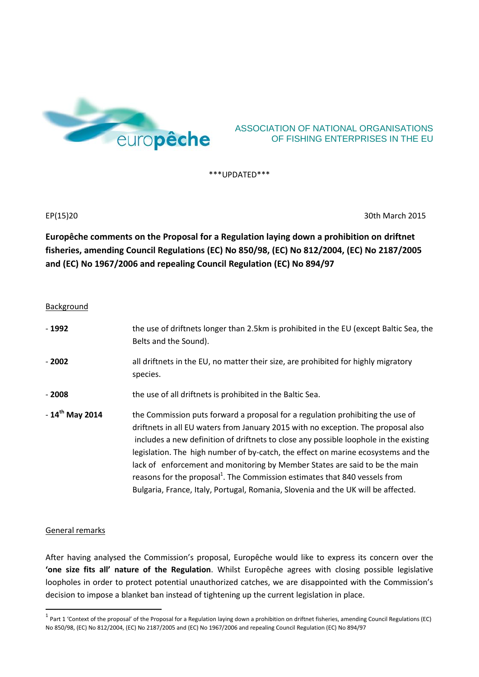

# ASSOCIATION OF NATIONAL ORGANISATIONS OF FISHING ENTERPRISES IN THE EU

\*\*\*UPDATED\*\*\*

EP(15)20 30th March 2015

**Europêche comments on the Proposal for a Regulation laying down a prohibition on driftnet fisheries, amending Council Regulations (EC) No 850/98, (EC) No 812/2004, (EC) No 2187/2005 and (EC) No 1967/2006 and repealing Council Regulation (EC) No 894/97**

#### Background

| $-1992$             | the use of driftnets longer than 2.5km is prohibited in the EU (except Baltic Sea, the<br>Belts and the Sound).                                                                                                                                                                                                                                                                                                                                                                                                                                                                                                 |
|---------------------|-----------------------------------------------------------------------------------------------------------------------------------------------------------------------------------------------------------------------------------------------------------------------------------------------------------------------------------------------------------------------------------------------------------------------------------------------------------------------------------------------------------------------------------------------------------------------------------------------------------------|
| $-2002$             | all driftnets in the EU, no matter their size, are prohibited for highly migratory<br>species.                                                                                                                                                                                                                                                                                                                                                                                                                                                                                                                  |
| - 2008              | the use of all driftnets is prohibited in the Baltic Sea.                                                                                                                                                                                                                                                                                                                                                                                                                                                                                                                                                       |
| $-14^{th}$ May 2014 | the Commission puts forward a proposal for a regulation prohibiting the use of<br>driftnets in all EU waters from January 2015 with no exception. The proposal also<br>includes a new definition of driftnets to close any possible loophole in the existing<br>legislation. The high number of by-catch, the effect on marine ecosystems and the<br>lack of enforcement and monitoring by Member States are said to be the main<br>reasons for the proposal <sup>1</sup> . The Commission estimates that 840 vessels from<br>Bulgaria, France, Italy, Portugal, Romania, Slovenia and the UK will be affected. |

### General remarks

 $\overline{a}$ 

After having analysed the Commission's proposal, Europêche would like to express its concern over the **'one size fits all' nature of the Regulation**. Whilst Europêche agrees with closing possible legislative loopholes in order to protect potential unauthorized catches, we are disappointed with the Commission's decision to impose a blanket ban instead of tightening up the current legislation in place.

 $^1$  Part 1 'Context of the proposal' of the Proposal for a Regulation laying down a prohibition on driftnet fisheries, amending Council Regulations (EC) No 850/98, (EC) No 812/2004, (EC) No 2187/2005 and (EC) No 1967/2006 and repealing Council Regulation (EC) No 894/97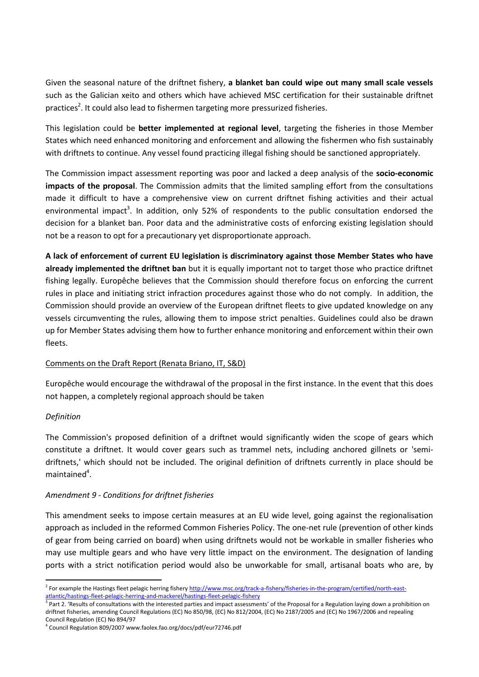Given the seasonal nature of the driftnet fishery, **a blanket ban could wipe out many small scale vessels** such as the Galician xeito and others which have achieved MSC certification for their sustainable driftnet practices<sup>2</sup>. It could also lead to fishermen targeting more pressurized fisheries.

This legislation could be **better implemented at regional level**, targeting the fisheries in those Member States which need enhanced monitoring and enforcement and allowing the fishermen who fish sustainably with driftnets to continue. Any vessel found practicing illegal fishing should be sanctioned appropriately.

The Commission impact assessment reporting was poor and lacked a deep analysis of the **socio-economic impacts of the proposal**. The Commission admits that the limited sampling effort from the consultations made it difficult to have a comprehensive view on current driftnet fishing activities and their actual environmental impact<sup>3</sup>. In addition, only 52% of respondents to the public consultation endorsed the decision for a blanket ban. Poor data and the administrative costs of enforcing existing legislation should not be a reason to opt for a precautionary yet disproportionate approach.

**A lack of enforcement of current EU legislation is discriminatory against those Member States who have already implemented the driftnet ban** but it is equally important not to target those who practice driftnet fishing legally. Europêche believes that the Commission should therefore focus on enforcing the current rules in place and initiating strict infraction procedures against those who do not comply. In addition, the Commission should provide an overview of the European driftnet fleets to give updated knowledge on any vessels circumventing the rules, allowing them to impose strict penalties. Guidelines could also be drawn up for Member States advising them how to further enhance monitoring and enforcement within their own fleets.

## Comments on the Draft Report (Renata Briano, IT, S&D)

Europêche would encourage the withdrawal of the proposal in the first instance. In the event that this does not happen, a completely regional approach should be taken

### *Definition*

**.** 

The Commission's proposed definition of a driftnet would significantly widen the scope of gears which constitute a driftnet. It would cover gears such as trammel nets, including anchored gillnets or 'semidriftnets,' which should not be included. The original definition of driftnets currently in place should be maintained<sup>4</sup>.

## *Amendment 9 - Conditions for driftnet fisheries*

This amendment seeks to impose certain measures at an EU wide level, going against the regionalisation approach as included in the reformed Common Fisheries Policy. The one-net rule (prevention of other kinds of gear from being carried on board) when using driftnets would not be workable in smaller fisheries who may use multiple gears and who have very little impact on the environment. The designation of landing ports with a strict notification period would also be unworkable for small, artisanal boats who are, by

<sup>&</sup>lt;sup>2</sup> For example the Hastings fleet pelagic herring fishery [http://www.msc.org/track-a-fishery/fisheries-in-the-program/certified/north-east](http://www.msc.org/track-a-fishery/fisheries-in-the-program/certified/north-east-atlantic/hastings-fleet-pelagic-herring-and-mackerel/hastings-fleet-pelagic-fishery)[atlantic/hastings-fleet-pelagic-herring-and-mackerel/hastings-fleet-pelagic-fishery](http://www.msc.org/track-a-fishery/fisheries-in-the-program/certified/north-east-atlantic/hastings-fleet-pelagic-herring-and-mackerel/hastings-fleet-pelagic-fishery)

<sup>&</sup>lt;sup>3</sup> Part 2. 'Results of consultations with the interested parties and impact assessments' of the Proposal for a Regulation laying down a prohibition on driftnet fisheries, amending Council Regulations (EC) No 850/98, (EC) No 812/2004, (EC) No 2187/2005 and (EC) No 1967/2006 and repealing Council Regulation (EC) No 894/97

<sup>4</sup> Council Regulation 809/2007 www.faolex.fao.org/docs/pdf/eur72746.pdf